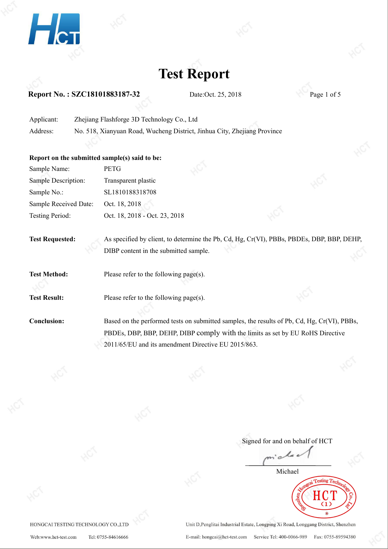

### **Test Report**

#### **Report No. : SZC18101883187-32** Date:Oct. 25, 2018 Page 1 of 5

Applicant: Zhejiang Flashforge 3D Technology Co., Ltd Address: No. 518, Xianyuan Road, Wucheng District, Jinhua City, Zhejiang Province

#### **Report on the submitted sample(s) said tobe:**

| Sample Name:          | <b>PETG</b>                   |  |
|-----------------------|-------------------------------|--|
| Sample Description:   | Transparent plastic           |  |
| Sample No.:           | SL1810188318708               |  |
| Sample Received Date: | Oct. 18, 2018                 |  |
| Testing Period:       | Oct. 18, 2018 - Oct. 23, 2018 |  |

**Test Requested:** As specified by client, to determine the Pb, Cd, Hg, Cr(VI), PBBs, PBDEs, DBP, BBP, DEHP, DIBP content in the submitted sample.

**Test Method:** Please refer to the following page(s).

**Test Result:** Please refer to the following page(s).

**Conclusion:** Based on the performed tests on submitted samples, the results of Pb, Cd, Hg, Cr(VI), PBBs, PBDEs, DBP, BBP, DEHP, DIBP comply with the limits as set by EU RoHS Directive 2011/65/EU and its amendment Directive EU 2015/863.

Signed for and on behalf of HCT

La  $\cdot$   $\alpha$ 

Michaelesting T.  $\left( 1\right)$ 

HONGCAI TESTING TECHNOLOGY CO.,LTD

Unit D, Penglitai Industrial Estate, Longping Xi Road, Longgang District, Shenzhen E-mail: hongcai@hct-test.com Service Tel: 400-0066-989 Fax: 0755-89594380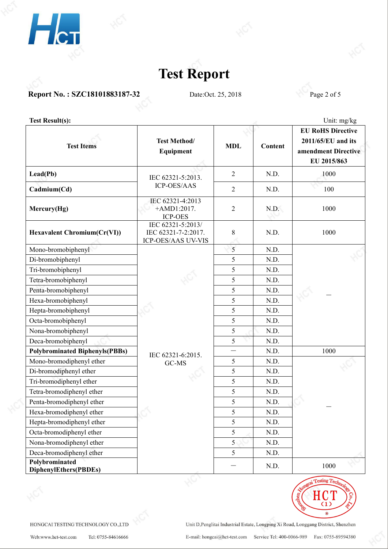



### **Report No. : SZC18101883187-32** Date:Oct. 25, 2018 Page 2 of 5

**Test Result(s):** Unit: mg/kg

| <b>Test Items</b>                       | <b>Test Method/</b><br>Equipment                               | <b>MDL</b>     | Content | <b>EU RoHS Directive</b><br>2011/65/EU and its<br>amendment Directive<br>EU 2015/863 |  |
|-----------------------------------------|----------------------------------------------------------------|----------------|---------|--------------------------------------------------------------------------------------|--|
|                                         |                                                                |                |         |                                                                                      |  |
| $\text{Lead}(\text{Pb})$                | IEC 62321-5:2013.<br>ICP-OES/AAS                               | $\overline{2}$ | N.D.    | 1000                                                                                 |  |
| Cadmium(Cd)                             |                                                                | $\overline{2}$ | N.D.    | 100                                                                                  |  |
| Mercury(Hg)                             | IEC 62321-4:2013<br>$+AMD1:2017.$<br><b>ICP-OES</b>            | $\overline{2}$ | N.D.    | 1000                                                                                 |  |
| <b>Hexavalent Chromium(Cr(VI))</b>      | IEC 62321-5:2013/<br>IEC 62321-7-2:2017.<br>ICP-OES/AAS UV-VIS | $8\,$          | N.D.    | 1000                                                                                 |  |
| Mono-bromobiphenyl                      |                                                                | 5              | N.D.    |                                                                                      |  |
| Di-bromobiphenyl                        |                                                                | 5              | N.D.    |                                                                                      |  |
| Tri-bromobiphenyl                       |                                                                | 5              | N.D.    |                                                                                      |  |
| Tetra-bromobiphenyl                     |                                                                | 5              | N.D.    |                                                                                      |  |
| Penta-bromobiphenyl                     |                                                                | 5              | N.D.    |                                                                                      |  |
| Hexa-bromobiphenyl                      |                                                                | 5              | N.D.    |                                                                                      |  |
| Hepta-bromobiphenyl                     |                                                                | 5              | N.D.    |                                                                                      |  |
| Octa-bromobiphenyl                      |                                                                | 5              | N.D.    |                                                                                      |  |
| Nona-bromobiphenyl                      |                                                                | 5              | N.D.    |                                                                                      |  |
| Deca-bromobiphenyl                      |                                                                | 5              | N.D.    |                                                                                      |  |
| <b>Polybrominated Biphenyls(PBBs)</b>   | IEC 62321-6:2015.                                              |                | N.D.    | 1000                                                                                 |  |
| Mono-bromodiphenyl ether                | GC-MS                                                          | 5              | N.D.    |                                                                                      |  |
| Di-bromodiphenyl ether                  |                                                                | 5              | N.D.    |                                                                                      |  |
| Tri-bromodiphenyl ether                 |                                                                | 5              | N.D.    |                                                                                      |  |
| Tetra-bromodiphenyl ether               |                                                                | 5              | N.D.    |                                                                                      |  |
| Penta-bromodiphenyl ether               |                                                                | 5              | N.D.    |                                                                                      |  |
| Hexa-bromodiphenyl ether                |                                                                | 5              | N.D.    |                                                                                      |  |
| Hepta-bromodiphenyl ether               |                                                                | 5              | N.D.    |                                                                                      |  |
| Octa-bromodiphenyl ether                |                                                                | 5              | N.D.    |                                                                                      |  |
| Nona-bromodiphenyl ether                |                                                                | 5 <sub>1</sub> | N.D.    |                                                                                      |  |
| Deca-bromodiphenyl ether                |                                                                | 5              | N.D.    |                                                                                      |  |
| Polybrominated<br>DiphenylEthers(PBDEs) |                                                                |                | N.D.    | 1000                                                                                 |  |



HONGCAI TESTING TECHNOLOGY CO., LTD

Unit D, Penglitai Industrial Estate, Longping Xi Road, Longgang District, Shenzhen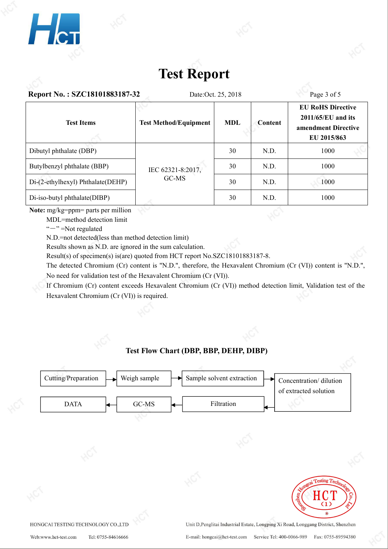

# **Test Report**

| Report No.: SZC18101883187-32     |                              | Page 3 of 5 |                |                                                                                        |
|-----------------------------------|------------------------------|-------------|----------------|----------------------------------------------------------------------------------------|
| <b>Test Items</b>                 | <b>Test Method/Equipment</b> | <b>MDL</b>  | <b>Content</b> | <b>EU RoHS Directive</b><br>$2011/65/EU$ and its<br>amendment Directive<br>EU 2015/863 |
| Dibutyl phthalate (DBP)           | IEC 62321-8:2017,<br>GC-MS   | 30          | N.D.           | 1000                                                                                   |
| Butylbenzyl phthalate (BBP)       |                              | 30          | N.D.           | 1000                                                                                   |
| Di-(2-ethylhexyl) Phthalate(DEHP) |                              | 30          | N.D.           | 1000                                                                                   |
| Di-iso-butyl phthalate(DIBP)      |                              | 30          | N.D.           | 1000                                                                                   |

**Note:** mg/kg=ppm= parts per million

MDL=method detection limit

"-" =Not regulated

N.D.=not detected(less than method detection limit)

Results shown as N.D. are ignored in the sum calculation.

Result(s) of specimen(s) is(are) quoted from HCT report No.SZC18101883187-8.

The detected Chromium (Cr) content is "N.D.", therefore, the Hexavalent Chromium (Cr (VI)) content is "N.D.", No need for validation test of the Hexavalent Chromium (Cr (VI)).

If Chromium (Cr) content exceeds Hexavalent Chromium (Cr (VI)) method detection limit, Validation test of the Hexavalent Chromium (Cr (VI)) is required.

### **Test Flow Chart (DBP, BBP, DEHP, DIBP)**



Fax: 0755-89594380 E-mail: hongcai@hct-test.com Service Tel: 400-0066-989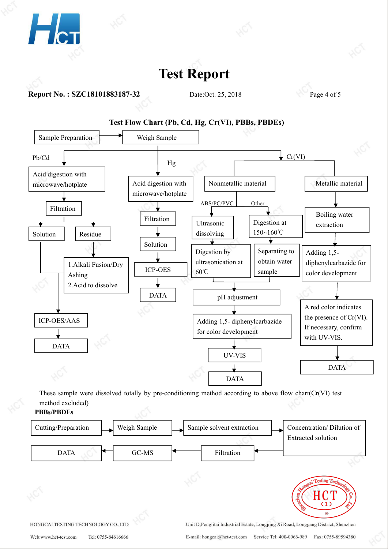

**Report No. : SZC18101883187-32** Date:Oct. 25, 2018 Page 4 of 5

 $H_{\rm{CT}}$ 





These sample were dissolved totally by pre-conditioning method according to above flow chart(Cr(VI) test method excluded)